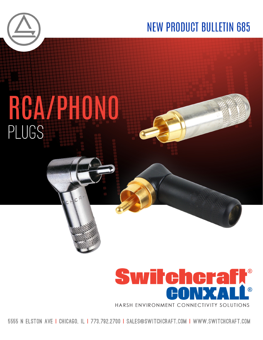

PLUGS

**RCAZPHONO** 

## **NEW PRODUCT BULLETIN 685**

## Switchera HARSH ENVIRONMENT CONNECTIVITY SOLUTIONS

5555 N ELSTON AVE I CHICAGO. IL I 773.792.2700 I SALES@SWITCHCRAFT.COM I WWW.SWITCHCRAFT.COM